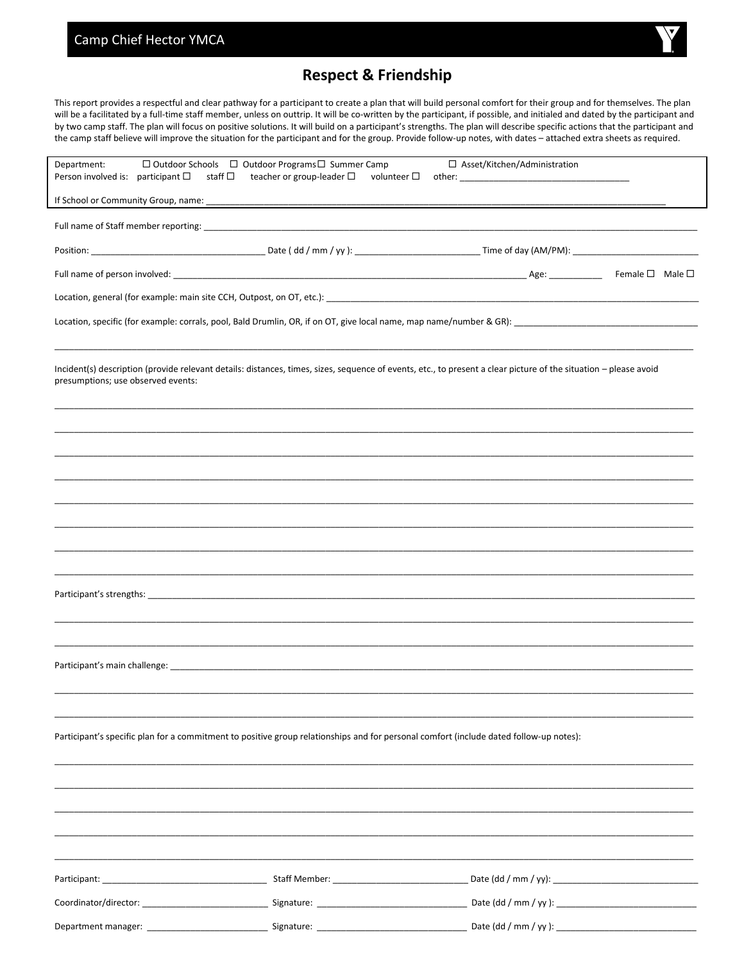## Camp Chief Hector YMCA



## **Respect & Friendship**

This report provides a respectful and clear pathway for a participant to create a plan that will build personal comfort for their group and for themselves. The plan will be a facilitated by a full-time staff member, unless on outtrip. It will be co-written by the participant, if possible, and initialed and dated by the participant and by two camp staff. The plan will focus on positive solutions. It will build on a participant's strengths. The plan will describe specific actions that the participant and the camp staff believe will improve the situation for the participant and for the group. Provide follow-up notes, with dates - attached extra sheets as required.

| $\Box$ Outdoor Schools $\Box$ Outdoor Programs $\Box$ Summer Camp<br>Department:<br>Person involved is: participant $\square$<br>staff □                                                                                       | teacher or group-leader $\Box$<br>volunteer $\Box$ | □ Asset/Kitchen/Administration<br>other: ________________________ |  |  |
|--------------------------------------------------------------------------------------------------------------------------------------------------------------------------------------------------------------------------------|----------------------------------------------------|-------------------------------------------------------------------|--|--|
|                                                                                                                                                                                                                                |                                                    |                                                                   |  |  |
|                                                                                                                                                                                                                                |                                                    |                                                                   |  |  |
|                                                                                                                                                                                                                                |                                                    |                                                                   |  |  |
|                                                                                                                                                                                                                                |                                                    |                                                                   |  |  |
| Location, general (for example: main site CCH, Outpost, on OT, etc.): [10] Decree and Content and Content and Content and Content and Content and Content and Content and Content and Content and Content and Content and Cont |                                                    |                                                                   |  |  |
|                                                                                                                                                                                                                                |                                                    |                                                                   |  |  |
|                                                                                                                                                                                                                                |                                                    |                                                                   |  |  |
| Incident(s) description (provide relevant details: distances, times, sizes, sequence of events, etc., to present a clear picture of the situation - please avoid<br>presumptions; use observed events:                         |                                                    |                                                                   |  |  |
|                                                                                                                                                                                                                                |                                                    |                                                                   |  |  |
|                                                                                                                                                                                                                                |                                                    |                                                                   |  |  |
|                                                                                                                                                                                                                                |                                                    |                                                                   |  |  |
|                                                                                                                                                                                                                                |                                                    |                                                                   |  |  |
|                                                                                                                                                                                                                                |                                                    |                                                                   |  |  |
|                                                                                                                                                                                                                                |                                                    |                                                                   |  |  |
|                                                                                                                                                                                                                                |                                                    |                                                                   |  |  |
|                                                                                                                                                                                                                                |                                                    |                                                                   |  |  |
|                                                                                                                                                                                                                                |                                                    |                                                                   |  |  |
|                                                                                                                                                                                                                                |                                                    |                                                                   |  |  |
|                                                                                                                                                                                                                                |                                                    |                                                                   |  |  |
|                                                                                                                                                                                                                                |                                                    |                                                                   |  |  |
|                                                                                                                                                                                                                                |                                                    |                                                                   |  |  |
| Participant's specific plan for a commitment to positive group relationships and for personal comfort (include dated follow-up notes):                                                                                         |                                                    |                                                                   |  |  |
|                                                                                                                                                                                                                                |                                                    |                                                                   |  |  |
|                                                                                                                                                                                                                                |                                                    |                                                                   |  |  |
|                                                                                                                                                                                                                                |                                                    |                                                                   |  |  |
|                                                                                                                                                                                                                                |                                                    |                                                                   |  |  |
|                                                                                                                                                                                                                                |                                                    |                                                                   |  |  |
|                                                                                                                                                                                                                                |                                                    |                                                                   |  |  |
|                                                                                                                                                                                                                                |                                                    |                                                                   |  |  |
|                                                                                                                                                                                                                                |                                                    |                                                                   |  |  |